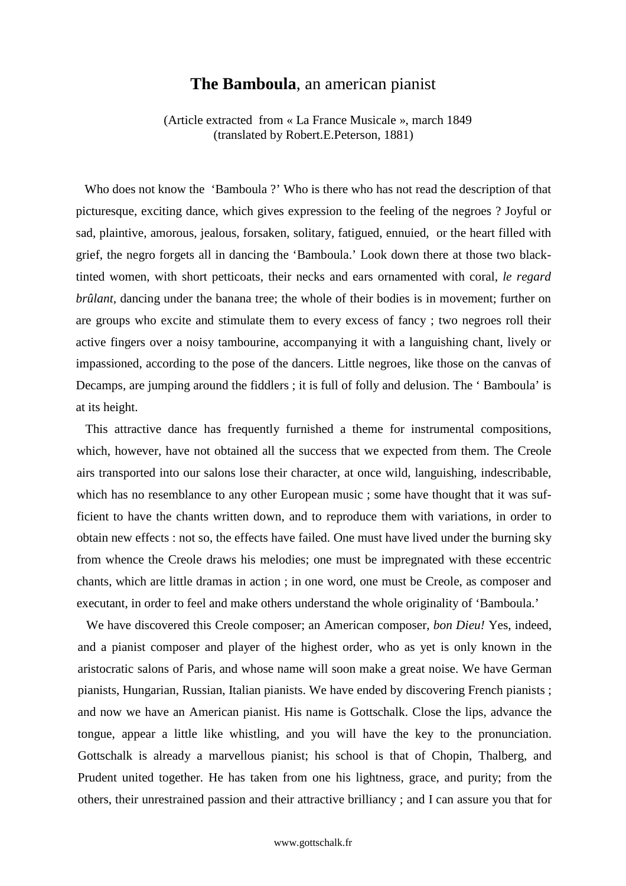## **The Bamboula**, an american pianist

(Article extracted from « La France Musicale », march 1849 (translated by Robert.E.Peterson, 1881)

Who does not know the 'Bamboula ?' Who is there who has not read the description of that picturesque, exciting dance, which gives expression to the feeling of the negroes ? Joyful or sad, plaintive, amorous, jealous, forsaken, solitary, fatigued, ennuied, or the heart filled with grief, the negro forgets all in dancing the 'Bamboula.' Look down there at those two blacktinted women, with short petticoats, their necks and ears ornamented with coral, *le regard brûlant*, dancing under the banana tree; the whole of their bodies is in movement; further on are groups who excite and stimulate them to every excess of fancy ; two negroes roll their active fingers over a noisy tambourine, accompanying it with a languishing chant, lively or impassioned, according to the pose of the dancers. Little negroes, like those on the canvas of Decamps, are jumping around the fiddlers ; it is full of folly and delusion. The ' Bamboula' is at its height.

This attractive dance has frequently furnished a theme for instrumental compositions, which, however, have not obtained all the success that we expected from them. The Creole airs transported into our salons lose their character, at once wild, languishing, indescribable, which has no resemblance to any other European music ; some have thought that it was sufficient to have the chants written down, and to reproduce them with variations, in order to obtain new effects : not so, the effects have failed. One must have lived under the burning sky from whence the Creole draws his melodies; one must be impregnated with these eccentric chants, which are little dramas in action ; in one word, one must be Creole, as composer and executant, in order to feel and make others understand the whole originality of 'Bamboula.'

We have discovered this Creole composer; an American composer, *bon Dieu!* Yes, indeed, and a pianist composer and player of the highest order, who as yet is only known in the aristocratic salons of Paris, and whose name will soon make a great noise. We have German pianists, Hungarian, Russian, Italian pianists. We have ended by discovering French pianists ; and now we have an American pianist. His name is Gottschalk. Close the lips, advance the tongue, appear a little like whistling, and you will have the key to the pronunciation. Gottschalk is already a marvellous pianist; his school is that of Chopin, Thalberg, and Prudent united together. He has taken from one his lightness, grace, and purity; from the others, their unrestrained passion and their attractive brilliancy ; and I can assure you that for